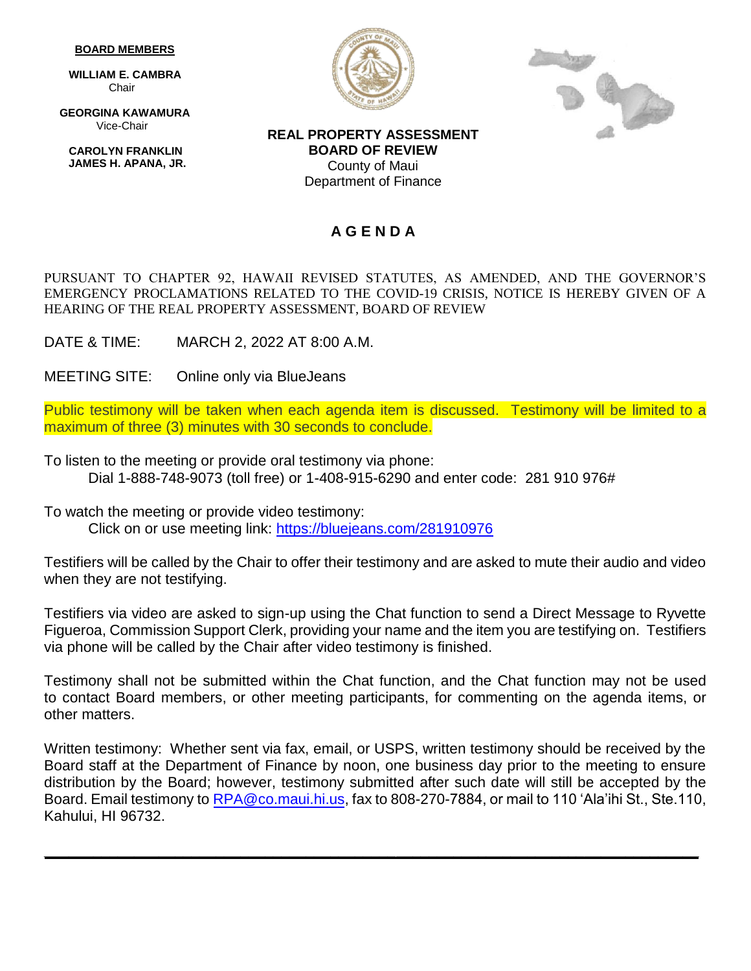## **BOARD MEMBERS**

 **WILLIAM E. CAMBRA** Chair

 **GEORGINA KAWAMURA** Vice-Chair

**CAROLYN FRANKLIN JAMES H. APANA, JR.**





**REAL PROPERTY ASSESSMENT BOARD OF REVIEW** County of Maui Department of Finance

## **A G E N D A**

PURSUANT TO CHAPTER 92, HAWAII REVISED STATUTES, AS AMENDED, AND THE GOVERNOR'S EMERGENCY PROCLAMATIONS RELATED TO THE COVID-19 CRISIS, NOTICE IS HEREBY GIVEN OF A HEARING OF THE REAL PROPERTY ASSESSMENT, BOARD OF REVIEW

DATE & TIME: MARCH 2, 2022 AT 8:00 A.M.

MEETING SITE: Online only via BlueJeans

Public testimony will be taken when each agenda item is discussed. Testimony will be limited to a maximum of three (3) minutes with 30 seconds to conclude.

To listen to the meeting or provide oral testimony via phone: Dial 1-888-748-9073 (toll free) or 1-408-915-6290 and enter code: 281 910 976#

To watch the meeting or provide video testimony: Click on or use meeting link:<https://bluejeans.com/281910976>

Testifiers will be called by the Chair to offer their testimony and are asked to mute their audio and video when they are not testifying.

Testifiers via video are asked to sign-up using the Chat function to send a Direct Message to Ryvette Figueroa, Commission Support Clerk, providing your name and the item you are testifying on. Testifiers via phone will be called by the Chair after video testimony is finished.

Testimony shall not be submitted within the Chat function, and the Chat function may not be used to contact Board members, or other meeting participants, for commenting on the agenda items, or other matters.

Written testimony: Whether sent via fax, email, or USPS, written testimony should be received by the Board staff at the Department of Finance by noon, one business day prior to the meeting to ensure distribution by the Board; however, testimony submitted after such date will still be accepted by the Board. Email testimony to [RPA@co.maui.hi.us,](mailto:RPA@co.maui.hi.us) fax to 808-270-7884, or mail to 110 'Ala'ihi St., Ste.110, Kahului, HI 96732.

**\_\_\_\_\_\_\_\_\_\_\_\_\_\_\_\_\_\_\_\_\_\_\_\_\_\_\_\_\_\_\_\_\_\_\_\_\_\_\_\_\_\_\_\_\_\_\_\_\_\_\_\_\_\_\_\_\_\_\_\_\_\_\_\_\_\_\_\_\_\_\_\_\_\_\_\_\_\_\_\_**